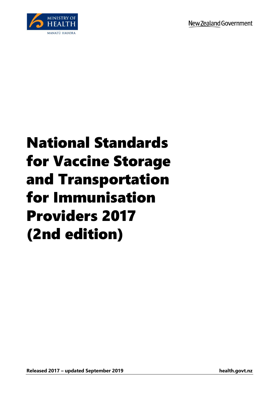

## National Standards for Vaccine Storage and Transportation for Immunisation Providers 2017 (2nd edition)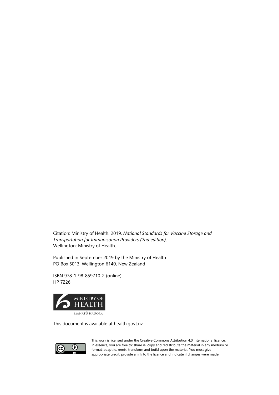Citation: Ministry of Health. 2019. *National Standards for Vaccine Storage and Transportation for Immunisation Providers (2nd edition)*. Wellington: Ministry of Health.

Published in September 2019 by the Ministry of Health PO Box 5013, Wellington 6140, New Zealand

ISBN 978-1-98-859710-2 (online) HP 7226



This document is available at health.govt.nz



This work is licensed under the Creative Commons Attribution 4.0 International licence. In essence, you are free to: share ie, copy and redistribute the material in any medium or format; adapt ie, remix, transform and build upon the material. You must give appropriate credit, provide a link to the licence and indicate if changes were made.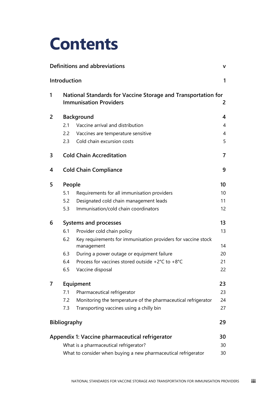## **Contents**

|   |                     | Definitions and abbreviations                                                                  | $\mathbf v$    |
|---|---------------------|------------------------------------------------------------------------------------------------|----------------|
|   | Introduction        |                                                                                                | 1              |
| 1 |                     | National Standards for Vaccine Storage and Transportation for<br><b>Immunisation Providers</b> | 2              |
| 2 |                     | <b>Background</b>                                                                              | 4              |
|   | 2.1                 | Vaccine arrival and distribution                                                               | $\overline{4}$ |
|   | $2.2^{\circ}$       | Vaccines are temperature sensitive                                                             | $\overline{4}$ |
|   | 2.3                 | Cold chain excursion costs                                                                     | 5              |
| 3 |                     | <b>Cold Chain Accreditation</b>                                                                | $\overline{7}$ |
| 4 |                     | <b>Cold Chain Compliance</b>                                                                   | 9              |
| 5 | People              |                                                                                                | 10             |
|   | 5.1                 | Requirements for all immunisation providers                                                    | 10             |
|   | 5.2                 | Designated cold chain management leads                                                         | 11             |
|   | 5.3                 | Immunisation/cold chain coordinators                                                           | 12             |
| 6 |                     | Systems and processes                                                                          | 13             |
|   | 6.1                 | Provider cold chain policy                                                                     | 13             |
|   | 6.2                 | Key requirements for immunisation providers for vaccine stock<br>management                    | 14             |
|   | 6.3                 | During a power outage or equipment failure                                                     | 20             |
|   | 6.4                 | Process for vaccines stored outside +2 $^{\circ}$ C to +8 $^{\circ}$ C                         | 21             |
|   | 6.5                 | Vaccine disposal                                                                               | 22             |
| 7 |                     | Equipment                                                                                      | 23             |
|   | 7.1                 | Pharmaceutical refrigerator                                                                    | 23             |
|   | 7.2                 | Monitoring the temperature of the pharmaceutical refrigerator                                  | 24             |
|   | 7.3                 | Transporting vaccines using a chilly bin                                                       | 27             |
|   | <b>Bibliography</b> |                                                                                                | 29             |
|   |                     | Appendix 1: Vaccine pharmaceutical refrigerator                                                | 30             |
|   |                     | What is a pharmaceutical refrigerator?                                                         | 30             |
|   |                     | What to consider when buying a new pharmaceutical refrigerator                                 | 30             |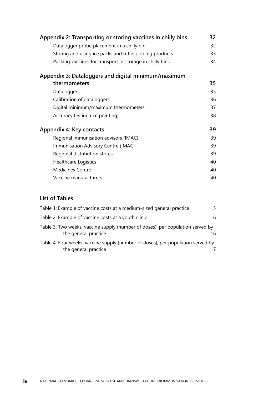| Appendix 2: Transporting or storing vaccines in chilly bins | 32 |
|-------------------------------------------------------------|----|
| Datalogger probe placement in a chilly bin                  | 32 |
| Storing and using ice packs and other cooling products      | 33 |
| Packing vaccines for transport or storage in chilly bins    | 34 |
| Appendix 3: Dataloggers and digital minimum/maximum         |    |
| thermometers                                                | 35 |
| Dataloggers                                                 | 35 |
| Calibration of dataloggers                                  | 36 |
| Digital minimum/maximum thermometers                        | 37 |
| Accuracy testing (ice pointing)                             | 38 |
| Appendix 4: Key contacts                                    | 39 |
| Regional immunisation advisors (IMAC)                       | 39 |
| Immunisation Advisory Centre (IMAC)                         | 39 |
| Regional distribution stores                                | 39 |
| <b>Healthcare Logistics</b>                                 | 40 |
| <b>Medicines Control</b>                                    | 40 |
| Vaccine manufacturers                                       | 40 |

#### **List of Tables**

| Table 1: Example of vaccine costs at a medium-sized general practice                                    | 5. |
|---------------------------------------------------------------------------------------------------------|----|
| Table 2: Example of vaccine costs at a youth clinic                                                     | 6  |
| Table 3: Two weeks' vaccine supply (number of doses), per population served by<br>the general practice  | 16 |
| Table 4: Four weeks' vaccine supply (number of doses), per population served by<br>the general practice |    |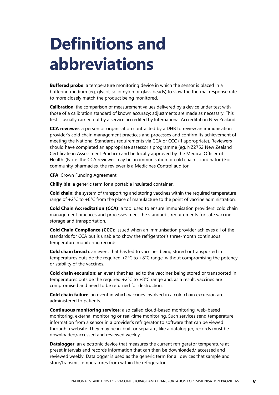# <span id="page-4-0"></span>**Definitions and abbreviations**

**Buffered probe**: a temperature monitoring device in which the sensor is placed in a buffering medium (eg, glycol, solid nylon or glass beads) to slow the thermal response rate to more closely match the product being monitored.

**Calibration**: the comparison of measurement values delivered by a device under test with those of a calibration standard of known accuracy; adjustments are made as necessary. This test is usually carried out by a service accredited by International Accreditation New Zealand.

**CCA reviewer**: a person or organisation contracted by a DHB to review an immunisation provider's cold chain management practices and processes and confirm its achievement of meeting the National Standards requirements via CCA or CCC (if appropriate). Reviewers should have completed an appropriate assessor's programme (eg, NZ2752 New Zealand Certificate in Assessment Practice) and be locally approved by the Medical Officer of Health. (Note: the CCA reviewer may be an immunisation or cold chain coordinator.) For community pharmacies, the reviewer is a Medicines Control auditor.

**CFA**: Crown Funding Agreement.

**Chilly bin**: a generic term for a portable insulated container.

**Cold chain**: the system of transporting and storing vaccines within the required temperature range of +2°C to +8°C from the place of manufacture to the point of vaccine administration.

**Cold Chain Accreditation (CCA)**: a tool used to ensure immunisation providers' cold chain management practices and processes meet the standard's requirements for safe vaccine storage and transportation.

**Cold Chain Compliance (CCC)**: issued when an immunisation provider achieves all of the standards for CCA but is unable to show the refrigerator's three-month continuous temperature monitoring records.

**Cold chain breach**: an event that has led to vaccines being stored or transported in temperatures outside the required +2°C to +8°C range, without compromising the potency or stability of the vaccines.

**Cold chain excursion**: an event that has led to the vaccines being stored or transported in temperatures outside the required  $+2^{\circ}C$  to  $+8^{\circ}C$  range and, as a result, vaccines are compromised and need to be returned for destruction.

**Cold chain failure**: an event in which vaccines involved in a cold chain excursion are administered to patients.

**Continuous monitoring services**: also called cloud-based monitoring, web-based monitoring, external monitoring or real-time monitoring. Such services send temperature information from a sensor in a provider's refrigerator to software that can be viewed through a website. They may be in-built or separate, like a datalogger; records must be downloaded/accessed and reviewed weekly.

**Datalogger:** an electronic device that measures the current refrigerator temperature at preset intervals and records information that can then be downloaded/ accessed and reviewed weekly. Datalogger is used as the generic term for all devices that sample and store/transmit temperatures from within the refrigerator.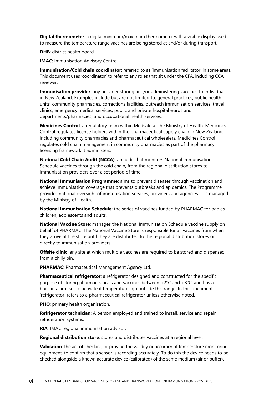**Digital thermometer**: a digital minimum/maximum thermometer with a visible display used to measure the temperature range vaccines are being stored at and/or during transport.

**DHB**: district health board.

**IMAC: Immunisation Advisory Centre.** 

**Immunisation/Cold chain coordinator**: referred to as 'immunisation facilitator' in some areas. This document uses 'coordinator' to refer to any roles that sit under the CFA, including CCA reviewer.

**Immunisation provider**: any provider storing and/or administering vaccines to individuals in New Zealand. Examples include but are not limited to: general practices, public health units, community pharmacies, corrections facilities, outreach immunisation services, travel clinics, emergency medical services, public and private hospital wards and departments/pharmacies, and occupational health services.

**Medicines Control**: a regulatory team within Medsafe at the Ministry of Health. Medicines Control regulates licence holders within the pharmaceutical supply chain in New Zealand, including community pharmacies and pharmaceutical wholesalers. Medicines Control regulates cold chain management in community pharmacies as part of the pharmacy licensing framework it administers.

**National Cold Chain Audit (NCCA)**: an audit that monitors National Immunisation Schedule vaccines through the cold chain, from the regional distribution stores to immunisation providers over a set period of time.

**National Immunisation Programme**: aims to prevent diseases through vaccination and achieve immunisation coverage that prevents outbreaks and epidemics. The Programme provides national oversight of immunisation services, providers and agencies. It is managed by the Ministry of Health.

**National Immunisation Schedule**: the series of vaccines funded by PHARMAC for babies, children, adolescents and adults.

**National Vaccine Store**: manages the National Immunisation Schedule vaccine supply on behalf of PHARMAC. The National Vaccine Store is responsible for all vaccines from when they arrive at the store until they are distributed to the regional distribution stores or directly to immunisation providers.

**Offsite clinic**: any site at which multiple vaccines are required to be stored and dispensed from a chilly bin.

**PHARMAC**: Pharmaceutical Management Agency Ltd.

**Pharmaceutical refrigerator**: a refrigerator designed and constructed for the specific purpose of storing pharmaceuticals and vaccines between +2°C and +8°C, and has a built-in alarm set to activate if temperatures go outside this range. In this document, 'refrigerator' refers to a pharmaceutical refrigerator unless otherwise noted.

**PHO**: primary health organisation.

**Refrigerator technician**: A person employed and trained to install, service and repair refrigeration systems.

**RIA**: IMAC regional immunisation advisor.

**Regional distribution store**: stores and distributes vaccines at a regional level.

**Validation**: the act of checking or proving the validity or accuracy of temperature monitoring equipment, to confirm that a sensor is recording accurately. To do this the device needs to be checked alongside a known accurate device (calibrated) of the same medium (air or buffer).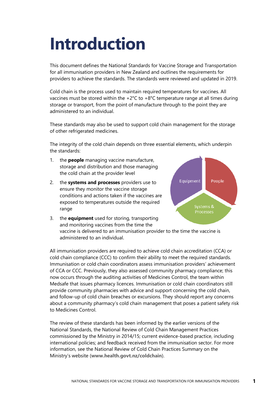# <span id="page-6-0"></span>**Introduction**

This document defines the National Standards for Vaccine Storage and Transportation for all immunisation providers in New Zealand and outlines the requirements for providers to achieve the standards. The standards were reviewed and updated in 2019.

Cold chain is the process used to maintain required temperatures for vaccines. All vaccines must be stored within the +2°C to +8°C temperature range at all times during storage or transport, from the point of manufacture through to the point they are administered to an individual.

These standards may also be used to support cold chain management for the storage of other refrigerated medicines.

The integrity of the cold chain depends on three essential elements, which underpin the standards:

- 1. the **people** managing vaccine manufacture, storage and distribution and those managing the cold chain at the provider level
- 2. the **systems and processes** providers use to ensure they monitor the vaccine storage conditions and actions taken if the vaccines are exposed to temperatures outside the required range



3. the **equipment** used for storing, transporting and monitoring vaccines from the time the vaccine is delivered to an immunisation provider to the time the vaccine is administered to an individual.

All immunisation providers are required to achieve cold chain accreditation (CCA) or cold chain compliance (CCC) to confirm their ability to meet the required standards. Immunisation or cold chain coordinators assess immunisation providers' achievement of CCA or CCC. Previously, they also assessed community pharmacy compliance; this now occurs through the auditing activities of Medicines Control, the team within Medsafe that issues pharmacy licences. Immunisation or cold chain coordinators still provide community pharmacies with advice and support concerning the cold chain, and follow-up of cold chain breaches or excursions. They should report any concerns about a community pharmacy's cold chain management that poses a patient safety risk to Medicines Control.

The review of these standards has been informed by the earlier versions of the National Standards, the National Review of Cold Chain Management Practices commissioned by the Ministry in 2014/15; current evidence-based practice, including international policies; and feedback received from the immunisation sector. For more information, see the National Review of Cold Chain Practices Summary on the Ministry's website (**[www.health.govt.nz/coldchain](http://www.health.govt.nz/coldchain)**).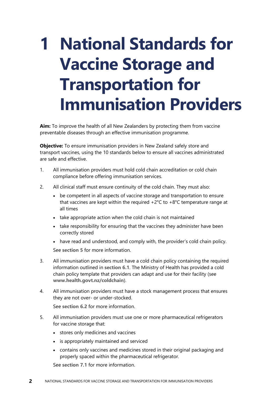# <span id="page-7-0"></span>**1 National Standards for Vaccine Storage and Transportation for Immunisation Providers**

**Aim:** To improve the health of all New Zealanders by protecting them from vaccine preventable diseases through an effective immunisation programme.

**Objective:** To ensure immunisation providers in New Zealand safely store and transport vaccines, using the 10 standards below to ensure all vaccines administrated are safe and effective.

- 1. All immunisation providers must hold cold chain accreditation or cold chain compliance before offering immunisation services.
- 2. All clinical staff must ensure continuity of the cold chain. They must also:
	- be competent in all aspects of vaccine storage and transportation to ensure that vaccines are kept within the required  $+2^{\circ}C$  to  $+8^{\circ}C$  temperature range at all times
	- take appropriate action when the cold chain is not maintained
	- take responsibility for ensuring that the vaccines they administer have been correctly stored
	- have read and understood, and comply with, the provider's cold chain policy.

See **[section 5](#page-15-2)** for more information.

- 3. All immunisation providers must have a cold chain policy containing the required information outlined in **[section 6.1](#page-18-2)**. The Ministry of Health has provided a cold chain policy template that providers can adapt and use for their facility (see **[www.health.govt.nz/coldchain](http://www.health.govt.nz/coldchain)**).
- 4. All immunisation providers must have a stock management process that ensures they are not over- or under-stocked.

See **[section 6.2](#page-19-1)** for more information.

- 5. All immunisation providers must use one or more pharmaceutical refrigerators for vaccine storage that:
	- stores only medicines and vaccines
	- is appropriately maintained and serviced
	- contains only vaccines and medicines stored in their original packaging and properly spaced within the pharmaceutical refrigerator.

See **[section 7.1](#page-28-2)** for more information.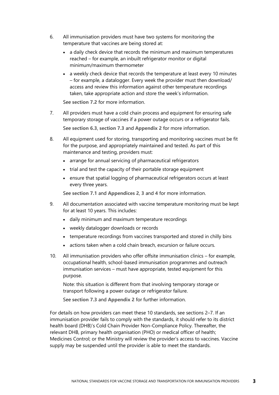- 6. All immunisation providers must have two systems for monitoring the temperature that vaccines are being stored at:
	- a daily check device that records the minimum and maximum temperatures reached – for example, an inbuilt refrigerator monitor or digital minimum/maximum thermometer
	- a weekly check device that records the temperature at least every 10 minutes – for example, a datalogger. Every week the provider must then download/ access and review this information against other temperature recordings taken, take appropriate action and store the week's information.

See **[section 7.2](#page-29-1)** for more information.

- 7. All providers must have a cold chain process and equipment for ensuring safe temporary storage of vaccines if a power outage occurs or a refrigerator fails. See **[section 6.3](#page-25-1)**, **[section 7.3](#page-32-1)** and **[Appendix](#page-37-2) 2** for more information.
- 8. All equipment used for storing, transporting and monitoring vaccines must be fit for the purpose, and appropriately maintained and tested. As part of this maintenance and testing, providers must:
	- arrange for annual servicing of pharmaceutical refrigerators
	- trial and test the capacity of their portable storage equipment
	- ensure that spatial logging of pharmaceutical refrigerators occurs at least every three years.

See **[section 7.1](#page-28-2)** and **Appendices [2](#page-35-3)**, **[3](#page-37-2)** and **[4](#page-40-2)** for more information.

- 9. All documentation associated with vaccine temperature monitoring must be kept for at least 10 years. This includes:
	- daily minimum and maximum temperature recordings
	- weekly datalogger downloads or records
	- temperature recordings from vaccines transported and stored in chilly bins
	- actions taken when a cold chain breach, excursion or failure occurs.
- 10. All immunisation providers who offer offsite immunisation clinics for example, occupational health, school-based immunisation programmes and outreach immunisation services – must have appropriate, tested equipment for this purpose.

Note: this situation is different from that involving temporary storage or transport following a power outage or refrigerator failure.

See **[section 7.3](#page-32-1)** and **[Appendix 2](#page-37-2)** for further information.

For details on how providers can meet these 10 standards, see sections 2–7. If an immunisation provider fails to comply with the standards, it should refer to its district health board (DHB)'s Cold Chain Provider Non-Compliance Policy. Thereafter, the relevant DHB, primary health organisation (PHO) or medical officer of health; Medicines Control; or the Ministry will review the provider's access to vaccines. Vaccine supply may be suspended until the provider is able to meet the standards.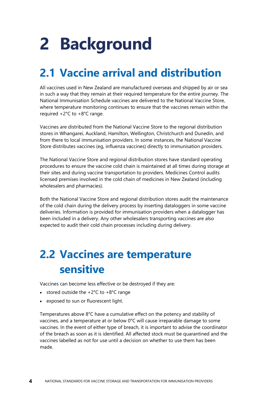# <span id="page-9-0"></span>**2 Background**

## <span id="page-9-1"></span>**2.1 Vaccine arrival and distribution**

All vaccines used in New Zealand are manufactured overseas and shipped by air or sea in such a way that they remain at their required temperature for the entire journey. The National Immunisation Schedule vaccines are delivered to the National Vaccine Store, where temperature monitoring continues to ensure that the vaccines remain within the required +2°C to +8°C range.

Vaccines are distributed from the National Vaccine Store to the regional distribution stores in Whangarei, Auckland, Hamilton, Wellington, Christchurch and Dunedin, and from there to local immunisation providers. In some instances, the National Vaccine Store distributes vaccines (eg, influenza vaccines) directly to immunisation providers.

The National Vaccine Store and regional distribution stores have standard operating procedures to ensure the vaccine cold chain is maintained at all times during storage at their sites and during vaccine transportation to providers. Medicines Control audits licensed premises involved in the cold chain of medicines in New Zealand (including wholesalers and pharmacies).

Both the National Vaccine Store and regional distribution stores audit the maintenance of the cold chain during the delivery process by inserting dataloggers in some vaccine deliveries. Information is provided for immunisation providers when a datalogger has been included in a delivery. Any other wholesalers transporting vaccines are also expected to audit their cold chain processes including during delivery.

### <span id="page-9-2"></span>**2.2 Vaccines are temperature sensitive**

Vaccines can become less effective or be destroyed if they are:

- stored outside the  $+2^{\circ}C$  to  $+8^{\circ}C$  range
- exposed to sun or fluorescent light.

Temperatures above 8°C have a cumulative effect on the potency and stability of vaccines, and a temperature at or below 0°C will cause irreparable damage to some vaccines. In the event of either type of breach, it is important to advise the coordinator of the breach as soon as it is identified. All affected stock must be quarantined and the vaccines labelled as not for use until a decision on whether to use them has been made.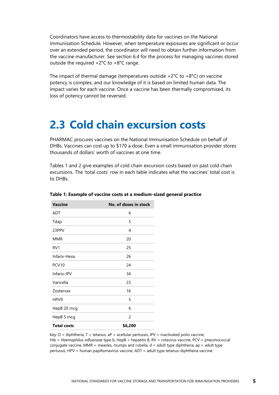Coordinators have access to thermostability data for vaccines on the National Immunisation Schedule. However, when temperature exposures are significant or occur over an extended period, the coordinator will need to obtain further information from the vaccine manufacturer. See section 6.4 for the process for managing vaccines stored outside the required +2°C to +8°C range.

The impact of thermal damage (temperatures outside  $+2^{\circ}C$  to  $+8^{\circ}C$ ) on vaccine potency is complex, and our knowledge of it is based on limited human data. The impact varies for each vaccine. Once a vaccine has been thermally compromised, its loss of potency cannot be reversed.

#### <span id="page-10-0"></span>**2.3 Cold chain excursion costs**

PHARMAC procures vaccines on the National Immunisation Schedule on behalf of DHBs. Vaccines can cost up to \$170 a dose. Even a small immunisation provider stores thousands of dollars' worth of vaccines at one time.

Tables 1 and 2 give examples of cold chain excursion costs based on past cold chain excursions. The 'total costs' row in each table indicates what the vaccines' total cost is to DHBs.

| <b>Vaccine</b>     | No. of doses in stock |
|--------------------|-----------------------|
| <b>ADT</b>         | 6                     |
| Tdap               | 5                     |
| 23PPV              | 4                     |
| <b>MMR</b>         | 20                    |
| RV <sub>1</sub>    | 25                    |
| Infarix-Hexa       | 26                    |
| PCV <sub>10</sub>  | 24                    |
| Infarix-IPV        | 34                    |
| Varicella          | 23                    |
| Zostervax          | 16                    |
| HPV9               | 5                     |
| HepB 20 mcg        | 6                     |
| HepB 5 mcg         | 2                     |
| <b>Total costs</b> | \$6,200               |

#### <span id="page-10-1"></span>**Table 1: Example of vaccine costs at a medium-sized general practice**

Key:  $D =$  diphtheria,  $T =$  tetanus,  $aP =$  acellular pertussis, IPV = inactivated polio vaccine, Hib = *Haemophilus influenzae* type b, HepB = hepatitis B, RV = rotavirus vaccine, PCV = pneumococcal conjugate vaccine, MMR = measles, mumps and rubella, d = adult type diphtheria, ap = adult type pertussis, HPV = human papillomavirus vaccine, ADT = adult type tetanus-diphtheria vaccine.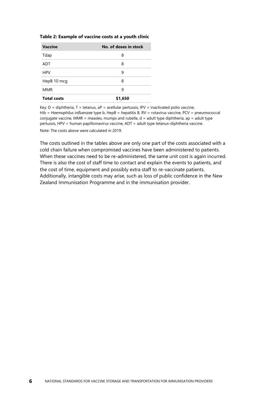#### <span id="page-11-0"></span>**Table 2: Example of vaccine costs at a youth clinic**

| <b>Vaccine</b>     | No. of doses in stock |
|--------------------|-----------------------|
| Tdap               | 8                     |
| <b>ADT</b>         | 8                     |
| <b>HPV</b>         | 9                     |
| HepB 10 mcg        | 8                     |
| <b>MMR</b>         | 9                     |
| <b>Total costs</b> | \$1,650               |

Key:  $D =$  diphtheria,  $T =$  tetanus,  $aP =$  acellular pertussis, IPV = inactivated polio vaccine, Hib = *Haemophilus influenzae* type b, HepB = hepatitis B, RV = rotavirus vaccine, PCV = pneumococcal conjugate vaccine, MMR = measles, mumps and rubella,  $d =$  adult type diphtheria, ap = adult type pertussis, HPV = human papillomavirus vaccine, ADT = adult type tetanus-diphtheria vaccine. Note: The costs above were calculated in 2019.

The costs outlined in the tables above are only one part of the costs associated with a cold chain failure when compromised vaccines have been administered to patients. When these vaccines need to be re-administered, the same unit cost is again incurred. There is also the cost of staff time to contact and explain the events to patients, and the cost of time, equipment and possibly extra staff to re-vaccinate patients. Additionally, intangible costs may arise, such as loss of public confidence in the New Zealand Immunisation Programme and in the immunisation provider.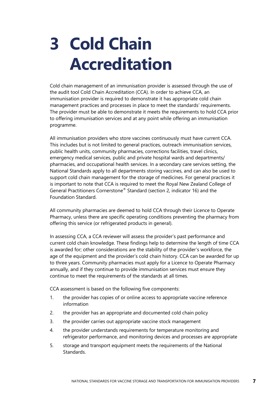# <span id="page-12-0"></span>**3 Cold Chain Accreditation**

Cold chain management of an immunisation provider is assessed through the use of the audit tool Cold Chain Accreditation (CCA). In order to achieve CCA, an immunisation provider is required to demonstrate it has appropriate cold chain management practices and processes in place to meet the standards' requirements. The provider must be able to demonstrate it meets the requirements to hold CCA prior to offering immunisation services and at any point while offering an immunisation programme.

All immunisation providers who store vaccines continuously must have current CCA. This includes but is not limited to general practices, outreach immunisation services, public health units, community pharmacies, corrections facilities, travel clinics, emergency medical services, public and private hospital wards and departments/ pharmacies, and occupational health services. In a secondary care services setting, the National Standards apply to all departments storing vaccines, and can also be used to support cold chain management for the storage of medicines. For general practices it is important to note that CCA is required to meet the Royal New Zealand College of General Practitioners Cornerstone® Standard (section 2, indicator 16) and the Foundation Standard.

All community pharmacies are deemed to hold CCA through their Licence to Operate Pharmacy, unless there are specific operating conditions preventing the pharmacy from offering this service (or refrigerated products in general).

In assessing CCA, a CCA reviewer will assess the provider's past performance and current cold chain knowledge. These findings help to determine the length of time CCA is awarded for; other considerations are the stability of the provider's workforce, the age of the equipment and the provider's cold chain history. CCA can be awarded for up to three years. Community pharmacies must apply for a Licence to Operate Pharmacy annually, and if they continue to provide immunisation services must ensure they continue to meet the requirements of the standards at all times.

CCA assessment is based on the following five components:

- 1. the provider has copies of or online access to appropriate vaccine reference information
- 2. the provider has an appropriate and documented cold chain policy
- 3. the provider carries out appropriate vaccine stock management
- 4. the provider understands requirements for temperature monitoring and refrigerator performance, and monitoring devices and processes are appropriate
- 5. storage and transport equipment meets the requirements of the National Standards.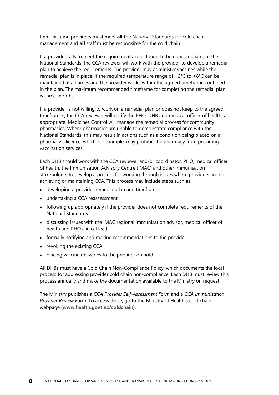Immunisation providers must meet **all** the National Standards for cold chain management and **all** staff must be responsible for the cold chain.

If a provider fails to meet the requirements, or is found to be noncompliant, of the National Standards, the CCA reviewer will work with the provider to develop a remedial plan to achieve the requirements. The provider may administer vaccines while the remedial plan is in place, if the required temperature range of  $+2^{\circ}C$  to  $+8^{\circ}C$  can be maintained at all times and the provider works within the agreed timeframes outlined in the plan. The maximum recommended timeframe for completing the remedial plan is three months.

If a provider is not willing to work on a remedial plan or does not keep to the agreed timeframes, the CCA reviewer will notify the PHO, DHB and medical officer of health, as appropriate. Medicines Control will manage the remedial process for community pharmacies. Where pharmacies are unable to demonstrate compliance with the National Standards, this may result in actions such as a condition being placed on a pharmacy's licence, which, for example, may prohibit the pharmacy from providing vaccination services.

Each DHB should work with the CCA reviewer and/or coordinator, PHO, medical officer of health, the Immunisation Advisory Centre (IMAC) and other immunisation stakeholders to develop a process for working through issues where providers are not achieving or maintaining CCA. This process may include steps such as:

- developing a provider remedial plan and timeframes
- undertaking a CCA reassessment
- following up appropriately if the provider does not complete requirements of the National Standards
- discussing issues with the IMAC regional immunisation advisor, medical officer of health and PHO clinical lead
- formally notifying and making recommendations to the provider
- revoking the existing CCA
- placing vaccine deliveries to the provider on hold.

All DHBs must have a Cold Chain Non-Compliance Policy; which documents the local process for addressing provider cold chain non-compliance. Each DHB must review this process annually and make the documentation available to the Ministry on request.

The Ministry publishes a *CCA Provider Self-Assessment Form* and a *CCA Immunisation Provider Review Form*. To access these, go to the Ministry of Health's cold chain webpage (**[www.health.govt.nz/coldchain](http://www.health.govt.nz/coldchain)**).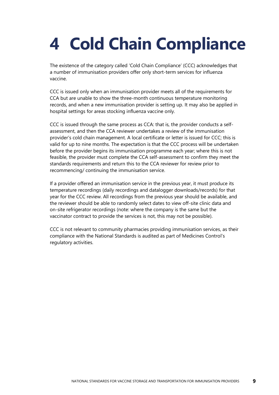# <span id="page-14-0"></span>**4 Cold Chain Compliance**

The existence of the category called 'Cold Chain Compliance' (CCC) acknowledges that a number of immunisation providers offer only short-term services for influenza vaccine.

CCC is issued only when an immunisation provider meets all of the requirements for CCA but are unable to show the three-month continuous temperature monitoring records, and when a new immunisation provider is setting up. It may also be applied in hospital settings for areas stocking influenza vaccine only.

CCC is issued through the same process as CCA: that is, the provider conducts a selfassessment, and then the CCA reviewer undertakes a review of the immunisation provider's cold chain management. A local certificate or letter is issued for CCC; this is valid for up to nine months. The expectation is that the CCC process will be undertaken before the provider begins its immunisation programme each year; where this is not feasible, the provider must complete the CCA self-assessment to confirm they meet the standards requirements and return this to the CCA reviewer for review prior to recommencing/ continuing the immunisation service.

If a provider offered an immunisation service in the previous year, it must produce its temperature recordings (daily recordings and datalogger downloads/records) for that year for the CCC review. All recordings from the previous year should be available, and the reviewer should be able to randomly select dates to view off-site clinic data and on-site refrigerator recordings (note: where the company is the same but the vaccinator contract to provide the services is not, this may not be possible).

CCC is not relevant to community pharmacies providing immunisation services, as their compliance with the National Standards is audited as part of Medicines Control's regulatory activities.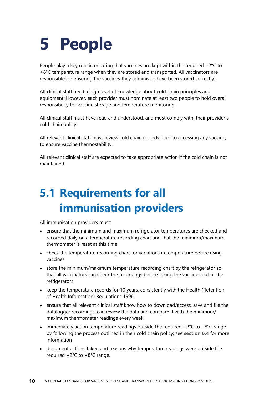# <span id="page-15-2"></span><span id="page-15-0"></span>**5 People**

People play a key role in ensuring that vaccines are kept within the required  $+2^{\circ}C$  to  $+8^{\circ}$ C temperature range when they are stored and transported. All vaccinators are responsible for ensuring the vaccines they administer have been stored correctly.

All clinical staff need a high level of knowledge about cold chain principles and equipment. However, each provider must nominate at least two people to hold overall responsibility for vaccine storage and temperature monitoring.

All clinical staff must have read and understood, and must comply with, their provider's cold chain policy.

All relevant clinical staff must review cold chain records prior to accessing any vaccine, to ensure vaccine thermostability.

All relevant clinical staff are expected to take appropriate action if the cold chain is not maintained.

## <span id="page-15-1"></span>**5.1 Requirements for all immunisation providers**

All immunisation providers must:

- ensure that the minimum and maximum refrigerator temperatures are checked and recorded daily on a temperature recording chart and that the minimum/maximum thermometer is reset at this time
- check the temperature recording chart for variations in temperature before using vaccines
- store the minimum/maximum temperature recording chart by the refrigerator so that all vaccinators can check the recordings before taking the vaccines out of the refrigerators
- keep the temperature records for 10 years, consistently with the Health (Retention of Health Information) Regulations 1996
- ensure that all relevant clinical staff know how to download/access, save and file the datalogger recordings; can review the data and compare it with the minimum/ maximum thermometer readings every week
- immediately act on temperature readings outside the required  $+2^{\circ}C$  to  $+8^{\circ}C$  range by following the process outlined in their cold chain policy; see **[section 6.4](#page-26-1)** for more information
- document actions taken and reasons why temperature readings were outside the required +2°C to +8°C range.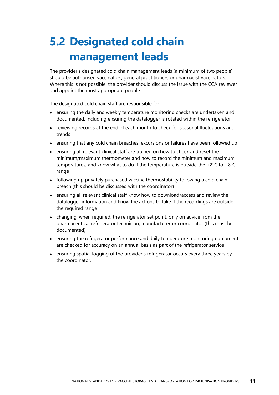## <span id="page-16-0"></span>**5.2 Designated cold chain management leads**

The provider's designated cold chain management leads (a minimum of two people) should be authorised vaccinators, general practitioners or pharmacist vaccinators. Where this is not possible, the provider should discuss the issue with the CCA reviewer and appoint the most appropriate people.

The designated cold chain staff are responsible for:

- ensuring the daily and weekly temperature monitoring checks are undertaken and documented, including ensuring the datalogger is rotated within the refrigerator
- reviewing records at the end of each month to check for seasonal fluctuations and trends
- ensuring that any cold chain breaches, excursions or failures have been followed up
- ensuring all relevant clinical staff are trained on how to check and reset the minimum/maximum thermometer and how to record the minimum and maximum temperatures, and know what to do if the temperature is outside the +2°C to +8°C range
- following up privately purchased vaccine thermostability following a cold chain breach (this should be discussed with the coordinator)
- ensuring all relevant clinical staff know how to download/access and review the datalogger information and know the actions to take if the recordings are outside the required range
- changing, when required, the refrigerator set point, only on advice from the pharmaceutical refrigerator technician, manufacturer or coordinator (this must be documented)
- ensuring the refrigerator performance and daily temperature monitoring equipment are checked for accuracy on an annual basis as part of the refrigerator service
- ensuring spatial logging of the provider's refrigerator occurs every three years by the coordinator.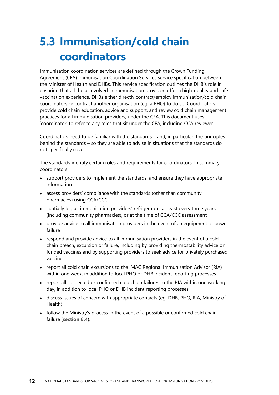## <span id="page-17-0"></span>**5.3 Immunisation/cold chain coordinators**

Immunisation coordination services are defined through the Crown Funding Agreement (CFA) Immunisation Coordination Services service specification between the Minister of Health and DHBs. This service specification outlines the DHB's role in ensuring that all those involved in immunisation provision offer a high-quality and safe vaccination experience. DHBs either directly contract/employ immunisation/cold chain coordinators or contract another organisation (eg, a PHO) to do so. Coordinators provide cold chain education, advice and support, and review cold chain management practices for all immunisation providers, under the CFA. This document uses 'coordinator' to refer to any roles that sit under the CFA, including CCA reviewer.

Coordinators need to be familiar with the standards – and, in particular, the principles behind the standards – so they are able to advise in situations that the standards do not specifically cover.

The standards identify certain roles and requirements for coordinators. In summary, coordinators:

- support providers to implement the standards, and ensure they have appropriate information
- assess providers' compliance with the standards (other than community pharmacies) using CCA/CCC
- spatially log all immunisation providers' refrigerators at least every three years (including community pharmacies), or at the time of CCA/CCC assessment
- provide advice to all immunisation providers in the event of an equipment or power failure
- respond and provide advice to all immunisation providers in the event of a cold chain breach, excursion or failure, including by providing thermostability advice on funded vaccines and by supporting providers to seek advice for privately purchased vaccines
- report all cold chain excursions to the IMAC Regional Immunisation Advisor (RIA) within one week, in addition to local PHO or DHB incident reporting processes
- report all suspected or confirmed cold chain failures to the RIA within one working day, in addition to local PHO or DHB incident reporting processes
- discuss issues of concern with appropriate contacts (eg, DHB, PHO, RIA, Ministry of Health)
- follow the Ministry's process in the event of a possible or confirmed cold chain failure (**[section 6.4](#page-26-1)**).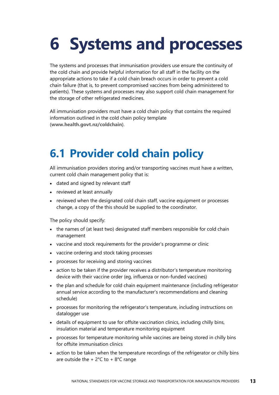# <span id="page-18-0"></span>**6 Systems and processes**

The systems and processes that immunisation providers use ensure the continuity of the cold chain and provide helpful information for all staff in the facility on the appropriate actions to take if a cold chain breach occurs in order to prevent a cold chain failure (that is, to prevent compromised vaccines from being administered to patients). These systems and processes may also support cold chain management for the storage of other refrigerated medicines.

All immunisation providers must have a cold chain policy that contains the required information outlined in the cold chain policy template (**[www.health.govt.nz/coldchain](http://www.health.govt.nz/coldchain)**).

### <span id="page-18-2"></span><span id="page-18-1"></span>**6.1 Provider cold chain policy**

All immunisation providers storing and/or transporting vaccines must have a written, current cold chain management policy that is:

- dated and signed by relevant staff
- reviewed at least annually
- reviewed when the designated cold chain staff, vaccine equipment or processes change, a copy of the this should be supplied to the coordinator.

The policy should specify:

- the names of (at least two) designated staff members responsible for cold chain management
- vaccine and stock requirements for the provider's programme or clinic
- vaccine ordering and stock taking processes
- processes for receiving and storing vaccines
- action to be taken if the provider receives a distributor's temperature monitoring device with their vaccine order (eg, influenza or non-funded vaccines)
- the plan and schedule for cold chain equipment maintenance (including refrigerator annual service according to the manufacturer's recommendations and cleaning schedule)
- processes for monitoring the refrigerator's temperature, including instructions on datalogger use
- details of equipment to use for offsite vaccination clinics, including chilly bins, insulation material and temperature monitoring equipment
- processes for temperature monitoring while vaccines are being stored in chilly bins for offsite immunisation clinics
- action to be taken when the temperature recordings of the refrigerator or chilly bins are outside the  $+ 2^{\circ}$ C to  $+ 8^{\circ}$ C range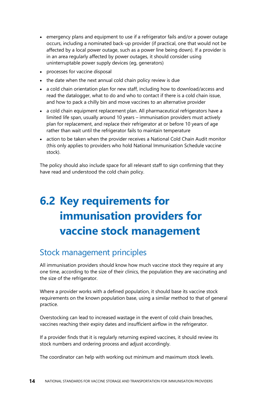- emergency plans and equipment to use if a refrigerator fails and/or a power outage occurs, including a nominated back-up provider (if practical, one that would not be affected by a local power outage, such as a power line being down). If a provider is in an area regularly affected by power outages, it should consider using uninterruptable power supply devices (eg, generators)
- processes for vaccine disposal
- the date when the next annual cold chain policy review is due
- a cold chain orientation plan for new staff, including how to download/access and read the datalogger, what to do and who to contact if there is a cold chain issue, and how to pack a chilly bin and move vaccines to an alternative provider
- a cold chain equipment replacement plan. All pharmaceutical refrigerators have a limited life span, usually around 10 years – immunisation providers must actively plan for replacement, and replace their refrigerator at or before 10 years of age rather than wait until the refrigerator fails to maintain temperature
- action to be taken when the provider receives a National Cold Chain Audit monitor (this only applies to providers who hold National Immunisation Schedule vaccine stock).

The policy should also include space for all relevant staff to sign confirming that they have read and understood the cold chain policy.

## <span id="page-19-1"></span><span id="page-19-0"></span>**6.2 Key requirements for immunisation providers for vaccine stock management**

#### Stock management principles

All immunisation providers should know how much vaccine stock they require at any one time, according to the size of their clinics, the population they are vaccinating and the size of the refrigerator.

Where a provider works with a defined population, it should base its vaccine stock requirements on the known population base, using a similar method to that of general practice.

Overstocking can lead to increased wastage in the event of cold chain breaches, vaccines reaching their expiry dates and insufficient airflow in the refrigerator.

If a provider finds that it is regularly returning expired vaccines, it should review its stock numbers and ordering process and adjust accordingly.

The coordinator can help with working out minimum and maximum stock levels.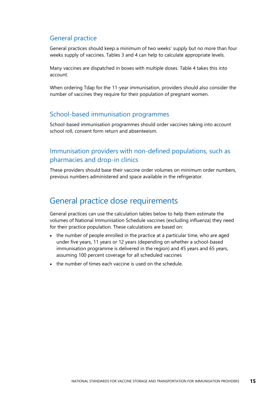#### General practice

General practices should keep a minimum of two weeks' supply but no more than four weeks supply of vaccines. Tables 3 and 4 can help to calculate appropriate levels.

Many vaccines are dispatched in boxes with multiple doses. Table 4 takes this into account.

When ordering Tdap for the 11-year immunisation, providers should also consider the number of vaccines they require for their population of pregnant women.

#### School-based immunisation programmes

School-based immunisation programmes should order vaccines taking into account school roll, consent form return and absenteeism.

#### Immunisation providers with non-defined populations, such as pharmacies and drop-in clinics

These providers should base their vaccine order volumes on minimum order numbers, previous numbers administered and space available in the refrigerator.

#### General practice dose requirements

General practices can use the calculation tables below to help them estimate the volumes of National Immunisation Schedule vaccines (excluding influenza) they need for their practice population. These calculations are based on:

- the number of people enrolled in the practice at a particular time, who are aged under five years, 11 years or 12 years (depending on whether a school-based immunisation programme is delivered in the region) and 45 years and 65 years, assuming 100 percent coverage for all scheduled vaccines
- the number of times each vaccine is used on the schedule.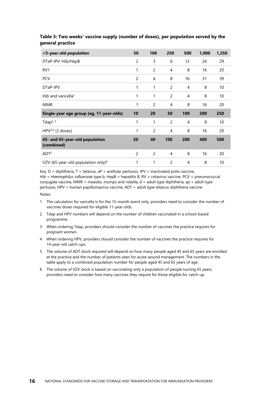| <5-year-old population                       | 50             | 100 | 250            | 500 | 1,000 | 1,250 |
|----------------------------------------------|----------------|-----|----------------|-----|-------|-------|
| DTaP-IPV-Hib/HepB                            | $\overline{c}$ | 3   | 6              | 12  | 24    | 29    |
| RV <sub>1</sub>                              | 1              | 2   | 4              | 8   | 16    | 20    |
| <b>PCV</b>                                   | $\overline{c}$ | 4   | 8              | 16  | 31    | 39    |
| DTaP-IPV                                     | 1              | 1   | 2              | 4   | 8     | 10    |
| Hib and varicella <sup>1</sup>               | 1              | 1   | $\overline{c}$ | 4   | 8     | 10    |
| <b>MMR</b>                                   | 1              | 2   | 4              | 8   | 16    | 20    |
|                                              |                |     |                |     |       |       |
| Single-year age group (eg, 11-year-olds)     | 10             | 20  | 50             | 100 | 200   | 250   |
| Tdap <sup>2, 3</sup>                         | 1              | 1   | $\overline{c}$ | 4   | 8     | 10    |
| HPV $^{2,4}$ (2 doses)                       | 1              | 2   | 4              | 8   | 16    | 20    |
| 45- and 65-year-old population<br>(combined) | 20             | 40  | 100            | 200 | 400   | 500   |
| ADT <sup>5</sup>                             | $\overline{c}$ | 2   | 4              | 8   | 16    | 20    |

#### <span id="page-21-0"></span>**Table 3: Two weeks' vaccine supply (number of doses), per population served by the general practice**

Key:  $D =$  diphtheria,  $T =$  tetanus,  $aP =$  acellular pertussis, IPV = inactivated polio vaccine, Hib = *Haemophilus influenzae* type b, HepB = hepatitis B, RV = rotavirus vaccine, PCV = pneumococcal conjugate vaccine, MMR = measles, mumps and rubella,  $d =$  adult type diphtheria, ap = adult type pertussis, HPV = human papillomavirus vaccine, ADT = adult type tetanus-diphtheria vaccine.

#### Notes

- 1 The calculation for varicella is for the 15-month event only; providers need to consider the number of vaccines doses required for eligible 11-year-olds.
- 2 Tdap and HPV numbers will depend on the number of children vaccinated in a school-based programme.
- 3 When ordering Tdap, providers should consider the number of vaccines the practice requires for pregnant women.
- 4 When ordering HPV, providers should consider the number of vaccines the practice requires for 14-year-old catch-ups.
- 5 The volume of ADT stock required will depend on how many people aged 45 and 65 years are enrolled at the practice and the number of patients seen for acute wound management. The numbers in the table apply to a combined population number for people aged 45 and 65 years of age.
- 6 The volume of VZV stock is based on vaccinating only a population of people turning 65 years; providers need to consider how many vaccines they require for those eligible for catch-up.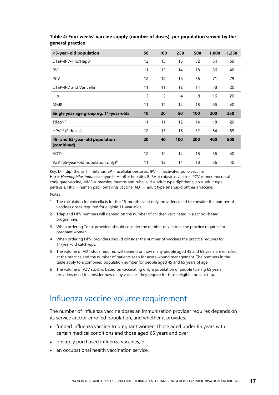| <5-year-old population                       | 50             | 100 | 250 | 500 | 1,000 | 1,250 |
|----------------------------------------------|----------------|-----|-----|-----|-------|-------|
| DTaP-IPV-Hib/HepB                            | 12             | 13  | 16  | 32  | 54    | 59    |
| RV <sub>1</sub>                              | 11             | 12  | 14  | 18  | 36    | 40    |
| <b>PCV</b>                                   | 12             | 14  | 18  | 36  | 71    | 79    |
| DTaP-IPV and Varicella <sup>1</sup>          | 11             | 11  | 12  | 14  | 18    | 20    |
| Hib                                          | $\overline{c}$ | 2   | 4   | 8   | 16    | 20    |
| <b>MMR</b>                                   | 11             | 12  | 14  | 18  | 36    | 40    |
|                                              |                |     |     |     |       |       |
| Single year age group eg, 11-year-olds       | 10             | 20  | 50  | 100 | 200   | 250   |
| Tdap <sup>2, 3</sup>                         | 11             | 11  | 12  | 14  | 18    | 20    |
| HPV $^{2,4}$ (2 doses)                       | 12             | 13  | 16  | 32  | 54    | 59    |
| 45- and 65-year-old population<br>(combined) | 20             | 40  | 100 | 200 | 400   | 500   |
| ADT <sup>5</sup>                             | 12             | 12  | 14  | 18  | 36    | 40    |

#### <span id="page-22-0"></span>**Table 4: Four weeks' vaccine supply (number of doses), per population served by the general practice**

Key:  $D =$  diphtheria,  $T =$  tetanus,  $aP =$  acellular pertussis, IPV = inactivated polio vaccine, Hib = *Haemophilus influenzae* type b, HepB = hepatitis B, RV = rotavirus vaccine, PCV = pneumococcal conjugate vaccine, MMR = measles, mumps and rubella,  $d =$  adult type diphtheria, ap = adult type pertussis, HPV = human papillomavirus vaccine, ADT = adult type tetanus-diphtheria vaccine.

#### Notes

- 1 The calculation for varicella is for the 15-month event only; providers need to consider the number of vaccines doses required for eligible 11-year-olds.
- 2 Tdap and HPV numbers will depend on the number of children vaccinated in a school-based programme.
- 3 When ordering Tdap, providers should consider the number of vaccines the practice requires for pregnant women.
- 4 When ordering HPV, providers should consider the number of vaccines the practice requires for 14-year-old catch-ups.
- 5 The volume of ADT stock required will depend on how many people aged 45 and 65 years are enrolled at the practice and the number of patients seen for acute wound management. The numbers in the table apply to a combined population number for people aged 45 and 65 years of age.
- 6 The volume of VZV stock is based on vaccinating only a population of people turning 65 years; providers need to consider how many vaccines they require for those eligible for catch-up.

#### Influenza vaccine volume requirement

The number of influenza vaccine doses an immunisation provider requires depends on its service and/or enrolled population, and whether it provides:

- funded influenza vaccine to pregnant women, those aged under 65 years with certain medical conditions and those aged 65 years and over
- privately purchased influenza vaccines, or
- an occupational health vaccination service.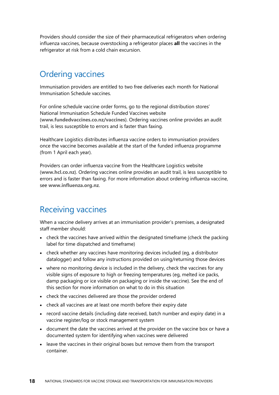Providers should consider the size of their pharmaceutical refrigerators when ordering influenza vaccines, because overstocking a refrigerator places **all** the vaccines in the refrigerator at risk from a cold chain excursion.

#### Ordering vaccines

Immunisation providers are entitled to two free deliveries each month for National Immunisation Schedule vaccines.

For online schedule vaccine order forms, go to the regional distribution stores' National Immunisation Schedule Funded Vaccines website (**[www.fundedvaccines.co.nz/vaccines](http://www.fundedvaccines.co.nz/vaccines)**). Ordering vaccines online provides an audit trail, is less susceptible to errors and is faster than faxing.

Healthcare Logistics distributes influenza vaccine orders to immunisation providers once the vaccine becomes available at the start of the funded influenza programme (from 1 April each year).

Providers can order influenza vaccine from the Healthcare Logistics website (**[www.hcl.co.nz](http://www.hcl.co.nz/)**). Ordering vaccines online provides an audit trail, is less susceptible to errors and is faster than faxing. For more information about ordering influenza vaccine, see **[www.influenza.org.nz](http://www.influenza.org.nz/)**.

#### Receiving vaccines

When a vaccine delivery arrives at an immunisation provider's premises, a designated staff member should:

- check the vaccines have arrived within the designated timeframe (check the packing label for time dispatched and timeframe)
- check whether any vaccines have monitoring devices included (eg, a distributor datalogger) and follow any instructions provided on using/returning those devices
- where no monitoring device is included in the delivery, check the vaccines for any visible signs of exposure to high or freezing temperatures (eg, melted ice packs, damp packaging or ice visible on packaging or inside the vaccine). See the end of this section for more information on what to do in this situation
- check the vaccines delivered are those the provider ordered
- check all vaccines are at least one month before their expiry date
- record vaccine details (including date received, batch number and expiry date) in a vaccine register/log or stock management system
- document the date the vaccines arrived at the provider on the vaccine box or have a documented system for identifying when vaccines were delivered
- leave the vaccines in their original boxes but remove them from the transport container.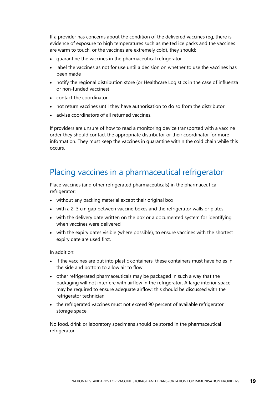If a provider has concerns about the condition of the delivered vaccines (eg, there is evidence of exposure to high temperatures such as melted ice packs and the vaccines are warm to touch, or the vaccines are extremely cold), they should:

- quarantine the vaccines in the pharmaceutical refrigerator
- label the vaccines as not for use until a decision on whether to use the vaccines has been made
- notify the regional distribution store (or Healthcare Logistics in the case of influenza or non-funded vaccines)
- contact the coordinator
- not return vaccines until they have authorisation to do so from the distributor
- advise coordinators of all returned vaccines.

If providers are unsure of how to read a monitoring device transported with a vaccine order they should contact the appropriate distributor or their coordinator for more information. They must keep the vaccines in quarantine within the cold chain while this occurs.

#### Placing vaccines in a pharmaceutical refrigerator

Place vaccines (and other refrigerated pharmaceuticals) in the pharmaceutical refrigerator:

- without any packing material except their original box
- with a 2-3 cm gap between vaccine boxes and the refrigerator walls or plates
- with the delivery date written on the box or a documented system for identifying when vaccines were delivered
- with the expiry dates visible (where possible), to ensure vaccines with the shortest expiry date are used first.

In addition:

- if the vaccines are put into plastic containers, these containers must have holes in the side and bottom to allow air to flow
- other refrigerated pharmaceuticals may be packaged in such a way that the packaging will not interfere with airflow in the refrigerator. A large interior space may be required to ensure adequate airflow; this should be discussed with the refrigerator technician
- the refrigerated vaccines must not exceed 90 percent of available refrigerator storage space.

No food, drink or laboratory specimens should be stored in the pharmaceutical refrigerator.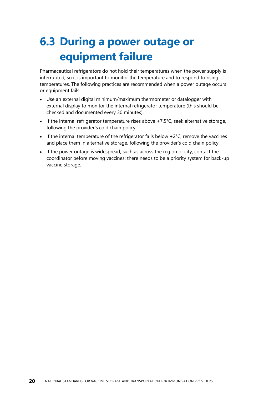## <span id="page-25-1"></span><span id="page-25-0"></span>**6.3 During a power outage or equipment failure**

Pharmaceutical refrigerators do not hold their temperatures when the power supply is interrupted, so it is important to monitor the temperature and to respond to rising temperatures. The following practices are recommended when a power outage occurs or equipment fails.

- Use an external digital minimum/maximum thermometer or datalogger with external display to monitor the internal refrigerator temperature (this should be checked and documented every 30 minutes).
- If the internal refrigerator temperature rises above +7.5°C, seek alternative storage, following the provider's cold chain policy.
- If the internal temperature of the refrigerator falls below  $+2^{\circ}$ C, remove the vaccines and place them in alternative storage, following the provider's cold chain policy.
- If the power outage is widespread, such as across the region or city, contact the coordinator before moving vaccines; there needs to be a priority system for back-up vaccine storage.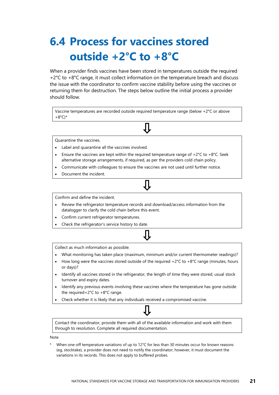## <span id="page-26-1"></span><span id="page-26-0"></span>**6.4 Process for vaccines stored outside +2°C to +8°C**

When a provider finds vaccines have been stored in temperatures outside the required +2°C to +8°C range, it must collect information on the temperature breach and discuss the issue with the coordinator to confirm vaccine stability before using the vaccines or returning them for destruction. The steps below outline the initial process a provider should follow.

Vaccine temperatures are recorded outside required temperature range (below +2°C or above  $+8^{\circ}$ C)\*

Quarantine the vaccines.

- Label and quarantine all the vaccines involved.
- Ensure the vaccines are kept within the required temperature range of  $+2^{\circ}C$  to  $+8^{\circ}C$ . Seek alternative storage arrangements, if required, as per the providers cold chain policy.
- Communicate with colleagues to ensure the vaccines are not used until further notice.
- Document the incident.

#### Confirm and define the incident.

- Review the refrigerator temperature records and download/access information from the datalogger to clarify the cold chain before this event.
- Confirm current refrigerator temperatures.
- Check the refrigerator's service history to date.

Collect as much information as possible.

- What monitoring has taken place (maximum, minimum and/or current thermometer readings)?
- How long were the vaccines stored outside of the required  $+2^{\circ}C$  to  $+8^{\circ}C$  range (minutes, hours or days)?
- Identify all vaccines stored in the refrigerator, the length of time they were stored, usual stock turnover and expiry dates.
- Identify any previous events involving these vaccines where the temperature has gone outside the required+2°C to +8°C range.
- Check whether it is likely that any individuals received a compromised vaccine.

Contact the coordinator, provide them with all of the available information and work with them through to resolution. Complete all required documentation.

Note

When one-off temperature variations of up to 12°C for less than 30 minutes occur for known reasons (eg, stocktake), a provider does not need to notify the coordinator; however, it must document the variations in its records. This does not apply to buffered probes.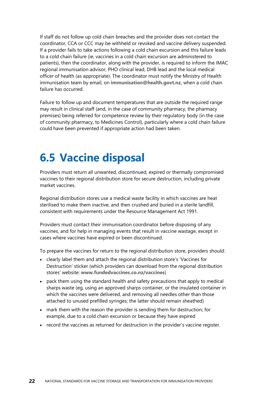If staff do not follow up cold chain breaches and the provider does not contact the coordinator, CCA or CCC may be withheld or revoked and vaccine delivery suspended. If a provider fails to take actions following a cold chain excursion and this failure leads to a cold chain failure (ie, vaccines in a cold chain excursion are administered to patients), then the coordinator, along with the provider, is required to inform the IMAC regional immunisation advisor, PHO clinical lead, DHB lead and the local medical officer of health (as appropriate). The coordinator must notify the Ministry of Health immunisation team by email, on **[immunisation@health.govt.nz,](mailto:immunisation@health.govt.nz)** when a cold chain failure has occurred.

Failure to follow up and document temperatures that are outside the required range may result in clinical staff (and, in the case of community pharmacy, the pharmacy premises) being referred for competence review by their regulatory body (in the case of community pharmacy, to Medicines Control), particularly where a cold chain failure could have been prevented if appropriate action had been taken.

#### <span id="page-27-0"></span>**6.5 Vaccine disposal**

Providers must return all unwanted, discontinued, expired or thermally compromised vaccines to their regional distribution store for secure destruction, including private market vaccines.

Regional distribution stores use a medical waste facility in which vaccines are heat sterilised to make them inactive, and then crushed and buried in a sterile landfill, consistent with requirements under the Resource Management Act 1991.

Providers must contact their immunisation coordinator before disposing of any vaccines, and for help in managing events that result in vaccine wastage, except in cases where vaccines have expired or been discontinued.

To prepare the vaccines for return to the regional distribution store, providers should:

- clearly label them and attach the regional distribution store's 'Vaccines for Destruction' sticker (which providers can download from the regional distribution stores' website: **[www.fundedvaccines.co.nz/vaccines](http://www.fundedvaccines.co.nz/vaccines)**)
- pack them using the standard health and safety precautions that apply to medical sharps waste (eg, using an approved sharps container, or the insulated container in which the vaccines were delivered, and removing all needles other than those attached to unused prefilled syringes; the latter should remain sheathed)
- mark them with the reason the provider is sending them for destruction; for example, due to a cold chain excursion or because they have expired
- record the vaccines as returned for destruction in the provider's vaccine register.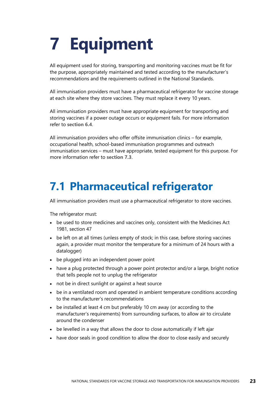# <span id="page-28-0"></span>**7 Equipment**

All equipment used for storing, transporting and monitoring vaccines must be fit for the purpose, appropriately maintained and tested according to the manufacturer's recommendations and the requirements outlined in the National Standards.

All immunisation providers must have a pharmaceutical refrigerator for vaccine storage at each site where they store vaccines. They must replace it every 10 years.

All immunisation providers must have appropriate equipment for transporting and storing vaccines if a power outage occurs or equipment fails. For more information refer to **[section 6.4](#page-26-1)**.

All immunisation providers who offer offsite immunisation clinics – for example, occupational health, school-based immunisation programmes and outreach immunisation services – must have appropriate, tested equipment for this purpose. For more information refer to **[section 7.3](#page-32-1)**.

### <span id="page-28-2"></span><span id="page-28-1"></span>**7.1 Pharmaceutical refrigerator**

All immunisation providers must use a pharmaceutical refrigerator to store vaccines.

The refrigerator must:

- be used to store medicines and vaccines only, consistent with the Medicines Act 1981, section 47
- be left on at all times (unless empty of stock; in this case, before storing vaccines again, a provider must monitor the temperature for a minimum of 24 hours with a datalogger)
- be plugged into an independent power point
- have a plug protected through a power point protector and/or a large, bright notice that tells people not to unplug the refrigerator
- not be in direct sunlight or against a heat source
- be in a ventilated room and operated in ambient temperature conditions according to the manufacturer's recommendations
- be installed at least 4 cm but preferably 10 cm away (or according to the manufacturer's requirements) from surrounding surfaces, to allow air to circulate around the condenser
- be levelled in a way that allows the door to close automatically if left ajar
- have door seals in good condition to allow the door to close easily and securely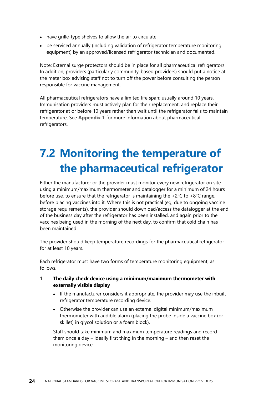- have grille-type shelves to allow the air to circulate
- be serviced annually (including validation of refrigerator temperature monitoring equipment) by an approved/licensed refrigerator technician and documented.

Note: External surge protectors should be in place for all pharmaceutical refrigerators. In addition, providers (particularly community-based providers) should put a notice at the meter box advising staff not to turn off the power before consulting the person responsible for vaccine management.

All pharmaceutical refrigerators have a limited life span: usually around 10 years. Immunisation providers must actively plan for their replacement, and replace their refrigerator at or before 10 years rather than wait until the refrigerator fails to maintain temperature. See **[Appendix 1](#page-35-3)** for more information about pharmaceutical refrigerators.

## <span id="page-29-1"></span><span id="page-29-0"></span>**7.2 Monitoring the temperature of the pharmaceutical refrigerator**

Either the manufacturer or the provider must monitor every new refrigerator on site using a minimum/maximum thermometer and datalogger for a minimum of 24 hours before use, to ensure that the refrigerator is maintaining the  $+2^{\circ}$ C to  $+8^{\circ}$ C range, before placing vaccines into it. Where this is not practical (eg, due to ongoing vaccine storage requirements), the provider should download/access the datalogger at the end of the business day after the refrigerator has been installed, and again prior to the vaccines being used in the morning of the next day, to confirm that cold chain has been maintained.

The provider should keep temperature recordings for the pharmaceutical refrigerator for at least 10 years.

Each refrigerator must have two forms of temperature monitoring equipment, as follows.

- 1. **The daily check device using a minimum/maximum thermometer with externally visible display**
	- If the manufacturer considers it appropriate, the provider may use the inbuilt refrigerator temperature recording device.
	- Otherwise the provider can use an external digital minimum/maximum thermometer with audible alarm (placing the probe inside a vaccine box (or skillet) in glycol solution or a foam block).

Staff should take minimum and maximum temperature readings and record them once a day – ideally first thing in the morning – and then reset the monitoring device.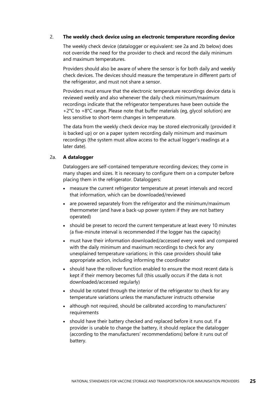#### 2. **The weekly check device using an electronic temperature recording device**

The weekly check device (datalogger or equivalent: see 2a and 2b below) does not override the need for the provider to check and record the daily minimum and maximum temperatures.

Providers should also be aware of where the sensor is for both daily and weekly check devices. The devices should measure the temperature in different parts of the refrigerator, and must not share a sensor.

Providers must ensure that the electronic temperature recordings device data is reviewed weekly and also whenever the daily check minimum/maximum recordings indicate that the refrigerator temperatures have been outside the +2°C to +8°C range. Please note that buffer materials (eg, glycol solution) are less sensitive to short-term changes in temperature.

The data from the weekly check device may be stored electronically (provided it is backed up) or on a paper system recording daily minimum and maximum recordings (the system must allow access to the actual logger's readings at a later date).

#### 2a. **A datalogger**

Dataloggers are self-contained temperature recording devices; they come in many shapes and sizes. It is necessary to configure them on a computer before placing them in the refrigerator. Dataloggers:

- measure the current refrigerator temperature at preset intervals and record that information, which can be downloaded/reviewed
- are powered separately from the refrigerator and the minimum/maximum thermometer (and have a back-up power system if they are not battery operated)
- should be preset to record the current temperature at least every 10 minutes (a five-minute interval is recommended if the logger has the capacity)
- must have their information downloaded/accessed every week and compared with the daily minimum and maximum recordings to check for any unexplained temperature variations; in this case providers should take appropriate action, including informing the coordinator
- should have the rollover function enabled to ensure the most recent data is kept if their memory becomes full (this usually occurs if the data is not downloaded/accessed regularly)
- should be rotated through the interior of the refrigerator to check for any temperature variations unless the manufacturer instructs otherwise
- although not required, should be calibrated according to manufacturers' requirements
- should have their battery checked and replaced before it runs out. If a provider is unable to change the battery, it should replace the datalogger (according to the manufacturers' recommendations) before it runs out of battery.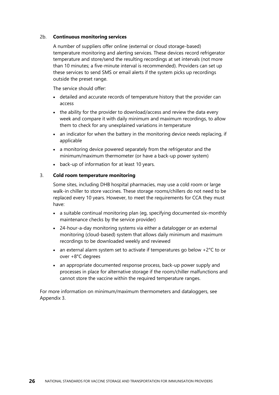#### 2b. **Continuous monitoring services**

A number of suppliers offer online (external or cloud storage-based) temperature monitoring and alerting services. These devices record refrigerator temperature and store/send the resulting recordings at set intervals (not more than 10 minutes; a five-minute interval is recommended). Providers can set up these services to send SMS or email alerts if the system picks up recordings outside the preset range.

The service should offer:

- detailed and accurate records of temperature history that the provider can access
- the ability for the provider to download/access and review the data every week and compare it with daily minimum and maximum recordings, to allow them to check for any unexplained variations in temperature
- an indicator for when the battery in the monitoring device needs replacing, if applicable
- a monitoring device powered separately from the refrigerator and the minimum/maximum thermometer (or have a back-up power system)
- back-up of information for at least 10 years.

#### 3. **Cold room temperature monitoring**

Some sites, including DHB hospital pharmacies, may use a cold room or large walk-in chiller to store vaccines. These storage rooms/chillers do not need to be replaced every 10 years. However, to meet the requirements for CCA they must have:

- a suitable continual monitoring plan (eg, specifying documented six-monthly maintenance checks by the service provider)
- 24-hour-a-day monitoring systems via either a datalogger or an external monitoring (cloud-based) system that allows daily minimum and maximum recordings to be downloaded weekly and reviewed
- an external alarm system set to activate if temperatures go below  $+2^{\circ}C$  to or over +8°C degrees
- an appropriate documented response process, back-up power supply and processes in place for alternative storage if the room/chiller malfunctions and cannot store the vaccine within the required temperature ranges.

For more information on minimum/maximum thermometers and dataloggers, see Appendix 3.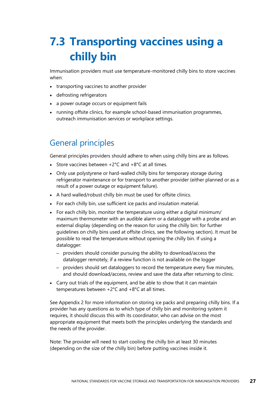## <span id="page-32-1"></span><span id="page-32-0"></span>**7.3 Transporting vaccines using a chilly bin**

Immunisation providers must use temperature-monitored chilly bins to store vaccines when:

- transporting vaccines to another provider
- defrosting refrigerators
- a power outage occurs or equipment fails
- running offsite clinics, for example school-based immunisation programmes, outreach immunisation services or workplace settings.

#### General principles

General principles providers should adhere to when using chilly bins are as follows.

- Store vaccines between  $+2^{\circ}$ C and  $+8^{\circ}$ C at all times.
- Only use polystyrene or hard-walled chilly bins for temporary storage during refrigerator maintenance or for transport to another provider (either planned or as a result of a power outage or equipment failure).
- A hard walled/robust chilly bin must be used for offsite clinics.
- For each chilly bin, use sufficient ice packs and insulation material.
- For each chilly bin, monitor the temperature using either a digital minimum/ maximum thermometer with an audible alarm or a datalogger with a probe and an external display (depending on the reason for using the chilly bin: for further guidelines on chilly bins used at offsite clinics, see the following section). It must be possible to read the temperature without opening the chilly bin. If using a datalogger:
	- providers should consider pursuing the ability to download/access the datalogger remotely, if a review function is not available on the logger
	- providers should set dataloggers to record the temperature every five minutes, and should download/access, review and save the data after returning to clinic.
- Carry out trials of the equipment, and be able to show that it can maintain temperatures between +2°C and +8°C at all times.

See Appendix 2 for more information on storing ice packs and preparing chilly bins. If a provider has any questions as to which type of chilly bin and monitoring system it requires, it should discuss this with its coordinator, who can advise on the most appropriate equipment that meets both the principles underlying the standards and the needs of the provider.

Note: The provider will need to start cooling the chilly bin at least 30 minutes (depending on the size of the chilly bin) before putting vaccines inside it.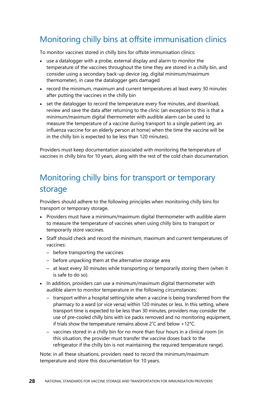#### Monitoring chilly bins at offsite immunisation clinics

To monitor vaccines stored in chilly bins for offsite immunisation clinics:

- use a datalogger with a probe, external display and alarm to monitor the temperature of the vaccines throughout the time they are stored in a chilly bin, and consider using a secondary back-up device (eg, digital minimum/maximum thermometer), in case the datalogger gets damaged
- record the minimum, maximum and current temperatures at least every 30 minutes after putting the vaccines in the chilly bin
- set the datalogger to record the temperature every five minutes, and download, review and save the data after returning to the clinic (an exception to this is that a minimum/maximum digital thermometer with audible alarm can be used to measure the temperature of a vaccine during transport to a single patient (eg, an influenza vaccine for an elderly person at home) when the time the vaccine will be in the chilly bin is expected to be less than 120 minutes).

Providers must keep documentation associated with monitoring the temperature of vaccines in chilly bins for 10 years, along with the rest of the cold chain documentation.

#### Monitoring chilly bins for transport or temporary storage

Providers should adhere to the following principles when monitoring chilly bins for transport or temporary storage.

- Providers must have a minimum/maximum digital thermometer with audible alarm to measure the temperature of vaccines when using chilly bins to transport or temporarily store vaccines.
- Staff should check and record the minimum, maximum and current temperatures of vaccines:
	- before transporting the vaccines
	- before unpacking them at the alternative storage area
	- at least every 30 minutes while transporting or temporarily storing them (when it is safe to do so).
- In addition, providers can use a minimum/maximum digital thermometer with audible alarm to monitor temperature in the following circumstances:
	- transport within a hospital setting/site when a vaccine is being transferred from the pharmacy to a ward (or vice versa) within 120 minutes or less. In this setting, where transport time is expected to be less than 30 minutes, providers may consider the use of pre-cooled chilly bins with ice packs removed and no monitoring equipment, if trials show the temperature remains above 2˚C and below +12°C.
	- vaccines stored in a chilly bin for no more than four hours in a clinical room (in this situation, the provider must transfer the vaccine doses back to the refrigerator if the chilly bin is not maintaining the required temperature range).

Note: in all these situations, providers need to record the minimum/maximum temperature and store this documentation for 10 years.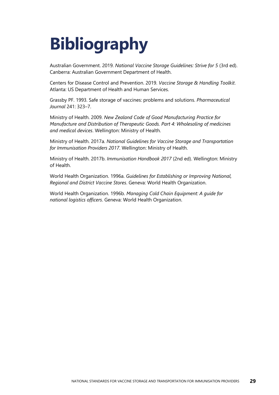# <span id="page-34-0"></span>**Bibliography**

Australian Government. 2019. *National Vaccine Storage Guidelines: Strive for 5* (3rd ed). Canberra: Australian Government Department of Health.

Centers for Disease Control and Prevention. 2019. *Vaccine Storage & Handling Toolkit*. Atlanta: US Department of Health and Human Services.

Grassby PF. 1993. Safe storage of vaccines: problems and solutions. *Pharmaceutical Journal* 241: 323–7.

Ministry of Health. 2009. *New Zealand Code of Good Manufacturing Practice for Manufacture and Distribution of Therapeutic Goods. Part 4: Wholesaling of medicines and medical devices*. Wellington: Ministry of Health.

Ministry of Health. 2017a. *National Guidelines for Vaccine Storage and Transportation for Immunisation Providers 2017*. Wellington: Ministry of Health.

Ministry of Health. 2017b. *Immunisation Handbook 2017* (2nd ed). Wellington: Ministry of Health.

World Health Organization. 1996a. *Guidelines for Establishing or Improving National, Regional and District Vaccine Stores*. Geneva: World Health Organization.

World Health Organization. 1996b. *Managing Cold Chain Equipment: A guide for national logistics officers*. Geneva: World Health Organization.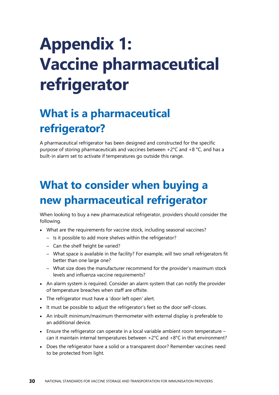# <span id="page-35-3"></span><span id="page-35-0"></span>**Appendix 1: Vaccine pharmaceutical refrigerator**

## <span id="page-35-1"></span>**What is a pharmaceutical refrigerator?**

A pharmaceutical refrigerator has been designed and constructed for the specific purpose of storing pharmaceuticals and vaccines between +2°C and +8 °C, and has a built-in alarm set to activate if temperatures go outside this range.

## <span id="page-35-2"></span>**What to consider when buying a new pharmaceutical refrigerator**

When looking to buy a new pharmaceutical refrigerator, providers should consider the following.

- What are the requirements for vaccine stock, including seasonal vaccines?
	- Is it possible to add more shelves within the refrigerator?
	- Can the shelf height be varied?
	- What space is available in the facility? For example, will two small refrigerators fit better than one large one?
	- What size does the manufacturer recommend for the provider's maximum stock levels and influenza vaccine requirements?
- An alarm system is required. Consider an alarm system that can notify the provider of temperature breaches when staff are offsite.
- The refrigerator must have a 'door left open' alert.
- It must be possible to adjust the refrigerator's feet so the door self-closes.
- An inbuilt minimum/maximum thermometer with external display is preferable to an additional device.
- $\bullet$  Ensure the refrigerator can operate in a local variable ambient room temperature can it maintain internal temperatures between +2°C and +8°C in that environment?
- Does the refrigerator have a solid or a transparent door? Remember vaccines need to be protected from light.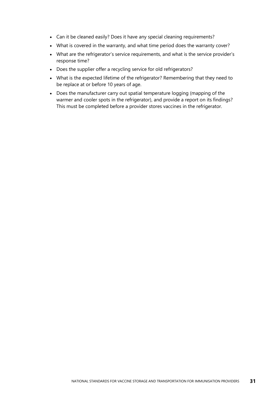- Can it be cleaned easily? Does it have any special cleaning requirements?
- What is covered in the warranty, and what time period does the warranty cover?
- What are the refrigerator's service requirements, and what is the service provider's response time?
- Does the supplier offer a recycling service for old refrigerators?
- What is the expected lifetime of the refrigerator? Remembering that they need to be replace at or before 10 years of age.
- Does the manufacturer carry out spatial temperature logging (mapping of the warmer and cooler spots in the refrigerator), and provide a report on its findings? This must be completed before a provider stores vaccines in the refrigerator.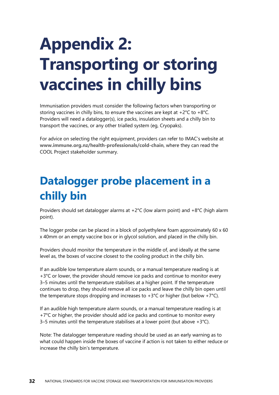# <span id="page-37-2"></span><span id="page-37-0"></span>**Appendix 2: Transporting or storing vaccines in chilly bins**

Immunisation providers must consider the following factors when transporting or storing vaccines in chilly bins, to ensure the vaccines are kept at  $+2^{\circ}C$  to  $+8^{\circ}C$ . Providers will need a datalogger(s), ice packs, insulation sheets and a chilly bin to transport the vaccines, or any other trialled system (eg, Cryopaks).

For advice on selecting the right equipment, providers can refer to IMAC's website at **[www.immune.org.nz/health-professionals/cold-chain](file://///moh.govt.nz/dfs-userdata/userstate/dmurfitt/Documents/www.immune.org.nz/health-professionals/cold-chain)**, where they can read the COOL Project stakeholder summary.

### <span id="page-37-1"></span>**Datalogger probe placement in a chilly bin**

Providers should set datalogger alarms at  $+2^{\circ}C$  (low alarm point) and  $+8^{\circ}C$  (high alarm point).

The logger probe can be placed in a block of polyethylene foam approximately  $60 \times 60$ x 40mm or an empty vaccine box or in glycol solution, and placed in the chilly bin.

Providers should monitor the temperature in the middle of, and ideally at the same level as, the boxes of vaccine closest to the cooling product in the chilly bin.

If an audible low temperature alarm sounds, or a manual temperature reading is at +3<sup>°</sup>C or lower, the provider should remove ice packs and continue to monitor every 3–5 minutes until the temperature stabilises at a higher point. If the temperature continues to drop, they should remove all ice packs and leave the chilly bin open until the temperature stops dropping and increases to  $+3^{\circ}$ C or higher (but below  $+7^{\circ}$ C).

If an audible high temperature alarm sounds, or a manual temperature reading is at +7°C or higher, the provider should add ice packs and continue to monitor every 3–5 minutes until the temperature stabilises at a lower point (but above  $+3^{\circ}$ C).

Note: The datalogger temperature reading should be used as an early warning as to what could happen inside the boxes of vaccine if action is not taken to either reduce or increase the chilly bin's temperature.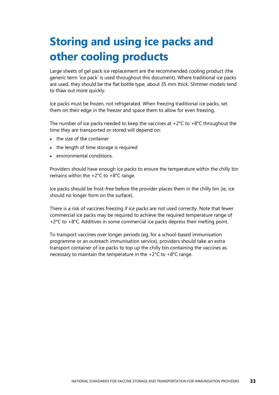## <span id="page-38-0"></span>**Storing and using ice packs and other cooling products**

Large sheets of gel pack ice replacement are the recommended cooling product (the generic term 'ice pack' is used throughout this document). Where traditional ice packs are used, they should be the flat bottle type, about 35 mm thick. Slimmer models tend to thaw out more quickly.

Ice packs must be frozen, not refrigerated. When freezing traditional ice packs, set them on their edge in the freezer and space them to allow for even freezing.

The number of ice packs needed to keep the vaccines at  $+2^{\circ}C$  to  $+8^{\circ}C$  throughout the time they are transported or stored will depend on:

- the size of the container
- the length of time storage is required
- environmental conditions.

Providers should have enough ice packs to ensure the temperature within the chilly bin remains within the  $+2^{\circ}$ C to  $+8^{\circ}$ C range.

Ice packs should be frost-free before the provider places them in the chilly bin (ie, ice should no longer form on the surface).

There is a risk of vaccines freezing if ice packs are not used correctly. Note that fewer commercial ice packs may be required to achieve the required temperature range of +2°C to +8°C. Additives in some commercial ice packs depress their melting point.

To transport vaccines over longer periods (eg, for a school-based immunisation programme or an outreach immunisation service), providers should take an extra transport container of ice packs to top up the chilly bin containing the vaccines as necessary to maintain the temperature in the +2°C to +8°C range.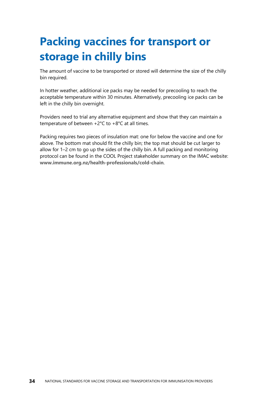## <span id="page-39-0"></span>**Packing vaccines for transport or storage in chilly bins**

The amount of vaccine to be transported or stored will determine the size of the chilly bin required.

In hotter weather, additional ice packs may be needed for precooling to reach the acceptable temperature within 30 minutes. Alternatively, precooling ice packs can be left in the chilly bin overnight.

Providers need to trial any alternative equipment and show that they can maintain a temperature of between +2°C to +8°C at all times.

Packing requires two pieces of insulation mat: one for below the vaccine and one for above. The bottom mat should fit the chilly bin; the top mat should be cut larger to allow for 1–2 cm to go up the sides of the chilly bin. A full packing and monitoring protocol can be found in the COOL Project stakeholder summary on the IMAC website: **[www.immune.org.nz/health-professionals/cold-chain](file://///moh.govt.nz/dfs-userdata/userstate/dmurfitt/Documents/www.immune.org.nz/health-professionals/cold-chain)**.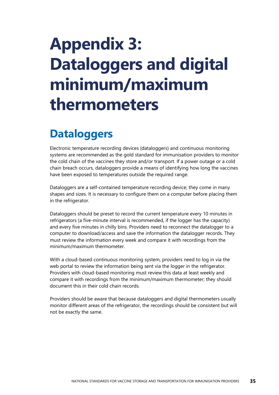# <span id="page-40-2"></span><span id="page-40-0"></span>**Appendix 3: Dataloggers and digital minimum/maximum thermometers**

### <span id="page-40-1"></span>**Dataloggers**

Electronic temperature recording devices (dataloggers) and continuous monitoring systems are recommended as the gold standard for immunisation providers to monitor the cold chain of the vaccines they store and/or transport. If a power outage or a cold chain breach occurs, dataloggers provide a means of identifying how long the vaccines have been exposed to temperatures outside the required range.

Dataloggers are a self-contained temperature recording device; they come in many shapes and sizes. It is necessary to configure them on a computer before placing them in the refrigerator.

Dataloggers should be preset to record the current temperature every 10 minutes in refrigerators (a five-minute interval is recommended, if the logger has the capacity) and every five minutes in chilly bins. Providers need to reconnect the datalogger to a computer to download/access and save the information the datalogger records. They must review the information every week and compare it with recordings from the minimum/maximum thermometer.

With a cloud-based continuous monitoring system, providers need to log in via the web portal to review the information being sent via the logger in the refrigerator. Providers with cloud-based monitoring must review this data at least weekly and compare it with recordings from the minimum/maximum thermometer; they should document this in their cold chain records.

Providers should be aware that because dataloggers and digital thermometers usually monitor different areas of the refrigerator, the recordings should be consistent but will not be exactly the same.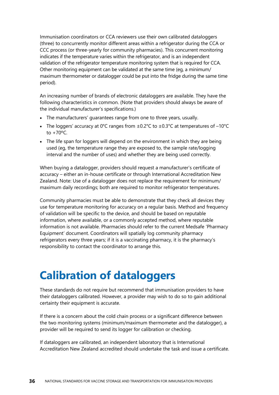Immunisation coordinators or CCA reviewers use their own calibrated dataloggers (three) to concurrently monitor different areas within a refrigerator during the CCA or CCC process (or three-yearly for community pharmacies). This concurrent monitoring indicates if the temperature varies within the refrigerator, and is an independent validation of the refrigerator temperature monitoring system that is required for CCA. Other monitoring equipment can be validated at the same time (eg, a minimum/ maximum thermometer or datalogger could be put into the fridge during the same time period).

An increasing number of brands of electronic dataloggers are available. They have the following characteristics in common. (Note that providers should always be aware of the individual manufacturer's specifications.)

- The manufacturers' guarantees range from one to three years, usually.
- The loggers' accuracy at 0°C ranges from  $\pm$ 0.2°C to  $\pm$ 0.3°C at temperatures of -10°C to  $+70^{\circ}$ C.
- The life span for loggers will depend on the environment in which they are being used (eg, the temperature range they are exposed to, the sample rate/logging interval and the number of uses) and whether they are being used correctly.

When buying a datalogger, providers should request a manufacturer's certificate of accuracy – either an in-house certificate or through International Accreditation New Zealand. Note: Use of a datalogger does not replace the requirement for minimum/ maximum daily recordings; both are required to monitor refrigerator temperatures.

Community pharmacies must be able to demonstrate that they check all devices they use for temperature monitoring for accuracy on a regular basis. Method and frequency of validation will be specific to the device, and should be based on reputable information, where available, or a commonly accepted method, where reputable information is not available. Pharmacies should refer to the current Medsafe 'Pharmacy Equipment' document. Coordinators will spatially log community pharmacy refrigerators every three years; if it is a vaccinating pharmacy, it is the pharmacy's responsibility to contact the coordinator to arrange this.

### <span id="page-41-0"></span>**Calibration of dataloggers**

These standards do not require but recommend that immunisation providers to have their dataloggers calibrated. However, a provider may wish to do so to gain additional certainty their equipment is accurate.

If there is a concern about the cold chain process or a significant difference between the two monitoring systems (minimum/maximum thermometer and the datalogger), a provider will be required to send its logger for calibration or checking.

If dataloggers are calibrated, an independent laboratory that is International Accreditation New Zealand accredited should undertake the task and issue a certificate.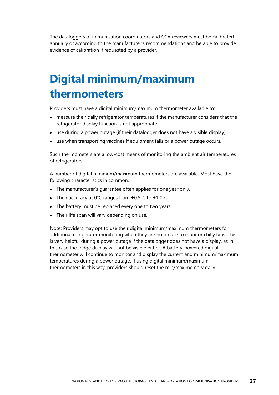The dataloggers of immunisation coordinators and CCA reviewers must be calibrated annually or according to the manufacturer's recommendations and be able to provide evidence of calibration if requested by a provider.

### <span id="page-42-0"></span>**Digital minimum/maximum thermometers**

Providers must have a digital minimum/maximum thermometer available to:

- measure their daily refrigerator temperatures if the manufacturer considers that the refrigerator display function is not appropriate
- use during a power outage (if their datalogger does not have a visible display)
- use when transporting vaccines if equipment fails or a power outage occurs.

Such thermometers are a low-cost means of monitoring the ambient air temperatures of refrigerators.

A number of digital minimum/maximum thermometers are available. Most have the following characteristics in common.

- The manufacturer's guarantee often applies for one year only.
- Their accuracy at  $0^{\circ}$ C ranges from  $\pm 0.5^{\circ}$ C to  $\pm 1.0^{\circ}$ C.
- The battery must be replaced every one to two years.
- Their life span will vary depending on use.

Note: Providers may opt to use their digital minimum/maximum thermometers for additional refrigerator monitoring when they are not in use to monitor chilly bins. This is very helpful during a power outage if the datalogger does not have a display, as in this case the fridge display will not be visible either. A battery-powered digital thermometer will continue to monitor and display the current and minimum/maximum temperatures during a power outage. If using digital minimum/maximum thermometers in this way, providers should reset the min/max memory daily.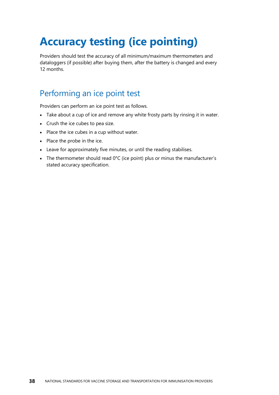## <span id="page-43-0"></span>**Accuracy testing (ice pointing)**

Providers should test the accuracy of all minimum/maximum thermometers and dataloggers (if possible) after buying them, after the battery is changed and every 12 months.

#### Performing an ice point test

Providers can perform an ice point test as follows.

- Take about a cup of ice and remove any white frosty parts by rinsing it in water.
- Crush the ice cubes to pea size.
- Place the ice cubes in a cup without water.
- Place the probe in the ice.
- Leave for approximately five minutes, or until the reading stabilises.
- The thermometer should read 0°C (ice point) plus or minus the manufacturer's stated accuracy specification.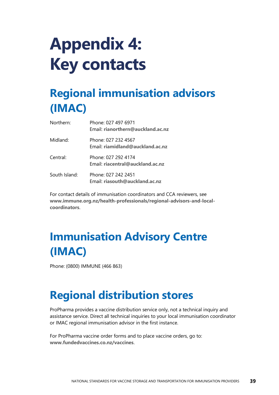# <span id="page-44-0"></span>**Appendix 4: Key contacts**

## <span id="page-44-1"></span>**Regional immunisation advisors (IMAC)**

| Northern:     | Phone: 027 497 6971<br>Email: rianorthern@auckland.ac.nz |
|---------------|----------------------------------------------------------|
| Midland:      | Phone: 027 232 4567<br>Email: riamidland@auckland.ac.nz  |
| Central:      | Phone: 027 292 4174<br>Email: riacentral@auckland.ac.nz  |
| South Island: | Phone: 027 242 2451<br>Email: riasouth@auckland.ac.nz    |

For contact details of immunisation coordinators and CCA reviewers, see **[www.immune.org.nz/health-professionals/regional-advisors-and-local](http://www.immune.org.nz/health-professionals/regional-advisors-and-local-coordinators)[coordinators](http://www.immune.org.nz/health-professionals/regional-advisors-and-local-coordinators)**.

## <span id="page-44-2"></span>**Immunisation Advisory Centre (IMAC)**

Phone: (0800) IMMUNE (466 863)

### <span id="page-44-3"></span>**Regional distribution stores**

ProPharma provides a vaccine distribution service only, not a technical inquiry and assistance service. Direct all technical inquiries to your local immunisation coordinator or IMAC regional immunisation advisor in the first instance.

For ProPharma vaccine order forms and to place vaccine orders, go to: **[www.fundedvaccines.co.nz/vaccines](http://www.fundedvaccines.co.nz/vaccines)**.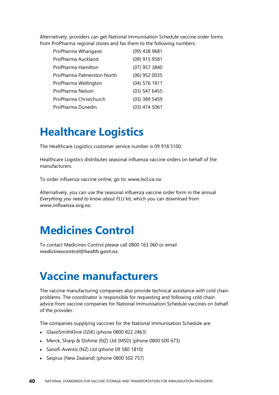Alternatively, providers can get National Immunisation Schedule vaccine order forms from ProPharma regional stores and fax them to the following numbers:

| ProPharma Whangarei        | (09) 438 9681   |
|----------------------------|-----------------|
| ProPharma Auckland         | (09) 915 9581   |
| ProPharma Hamilton         | (07) 957 3840   |
| ProPharma Palmerston North | (06) 952 0035   |
| ProPharma Wellington       | (04) 576 1811   |
| ProPharma Nelson           | (03) 547 6455   |
| ProPharma Christchurch     | (03) 389 5459   |
| ProPharma Dunedin          | $(03)$ 474 5061 |

### <span id="page-45-0"></span>**Healthcare Logistics**

The Healthcare Logistics customer service number is 09 918 5100.

Healthcare Logistics distributes seasonal influenza vaccine orders on behalf of the manufacturers.

To order influenza vaccine online, go to: **[www.hcl.co.nz](http://www.hcl.co.nz/)**.

Alternatively, you can use the seasonal influenza vaccine order form in the annual *Everything you need to know about FLU* kit, which you can download from **[www.influenza.org.nz](http://www.influenza.org.nz/)**.

### <span id="page-45-1"></span>**Medicines Control**

To contact Medicines Control please call 0800 163 060 or email **[medicinescontrol@health.govt.nz](mailto:medicinescontrol@health.govt.nz)**.

#### <span id="page-45-2"></span>**Vaccine manufacturers**

The vaccine manufacturing companies also provide technical assistance with cold chain problems. The coordinator is responsible for requesting and following cold chain advice from vaccine companies for National Immunisation Schedule vaccines on behalf of the provider.

The companies supplying vaccines for the National Immunisation Schedule are:

- GlaxoSmithKline (GSK) (phone 0800 822 2463)
- Merck, Sharp & Dohme (NZ) Ltd (MSD) (phone 0800 500 673)
- Sanofi-Aventis (NZ) Ltd (phone 09 580 1810)
- Seqirus (New Zealand) (phone 0800 502 757)